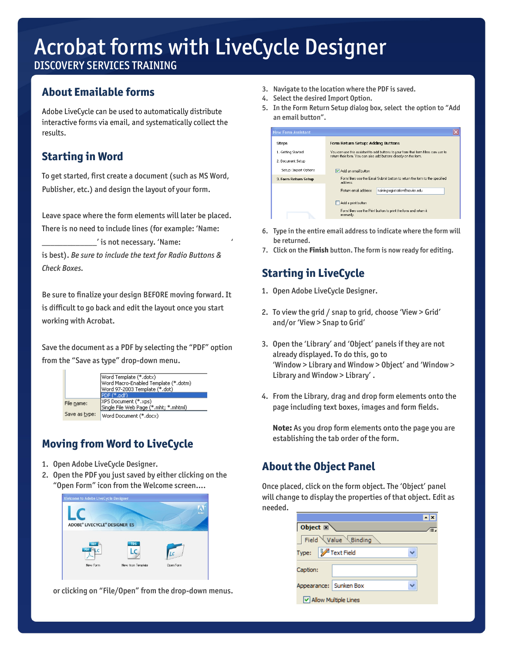DISCOVERY SERVICES TRAINING

## **About Emailable forms**

Adobe LiveCycle can be used to automatically distribute interactive forms via email, and systematically collect the results.

### **Starting in Word**

To get started, first create a document (such as MS Word, Publisher, etc.) and design the layout of your form.

Leave space where the form elements will later be placed. There is no need to include lines (for example: "Name:

 $\_$ ' is not necessary. 'Name:

is best). *Be sure to include the text for Radio Buttons & Check Boxes.*

Be sure to finalize your design BEFORE moving forward. It is difficult to go back and edit the layout once you start working with Acrobat.

Save the document as a PDF by selecting the "PDF" option from the "Save as type" drop-down menu.

|               | Word Template (*.dotx)<br> Word Macro-Enabled Template (*.dotm)<br>Word 97-2003 Template (*.dot) |  |
|---------------|--------------------------------------------------------------------------------------------------|--|
|               | PDF (*.pdf)                                                                                      |  |
| File name:    | XPS Document (*.xps)<br>Single File Web Page (*.mht; *.mhtml)                                    |  |
| Save as type: | Word Document (*.docx)                                                                           |  |

## **Moving from Word to LiveCycle**

- 1. Open Adobe LiveCycle Designer.
- 2. Open the PDF you just saved by either clicking on the "Open Form" icon from the Welcome screen….



or clicking on "File/Open" from the drop-down menus.

- 3. Navigate to the location where the PDF is saved.
- 4. Select the desired Import Option.
- 5. In the Form Return Setup dialog box, select the option to "Add an email button".

| <b>New Form Assistant</b> |                                                                                                                                                          |  |
|---------------------------|----------------------------------------------------------------------------------------------------------------------------------------------------------|--|
| Steps                     | <b>Form Return Setup: Adding Buttons</b>                                                                                                                 |  |
| 1. Getting Started        | You can use this assistant to add buttons to your form that form fillers can use to<br>return their form. You can also add buttons directly on the form. |  |
| 2. Document Setup         |                                                                                                                                                          |  |
| Setup: Import Options     | Add an email button                                                                                                                                      |  |
| 3. Form Return Setup      | Form fillers use the Email Submit button to return the form to the specified<br>address                                                                  |  |
|                           | Beturn email address:<br>trainingregistration@xavier.edu                                                                                                 |  |
|                           | Add a print button                                                                                                                                       |  |
|                           | Form fillers use the Print button to print the form and return it<br>manually.                                                                           |  |

- 6. Type in the entire email address to indicate where the form will be returned.
- 7. Click on the **Finish** button. The form is now ready for editing.

## **Starting in LiveCycle**

- 1. Open Adobe LiveCycle Designer.
- 2. To view the grid / snap to grid, choose 'View > Grid' and/or "View > Snap to Grid"
- 3. Open the "Library" and "Object" panels if they are not already displayed. To do this, go to "Window > Library and Window > Object" and "Window > Library and Window > Library'.
- 4. From the Library, drag and drop form elements onto the page including text boxes, images and form fields.

**Note:** As you drop form elements onto the page you are establishing the tab order of the form.

## **About the Object Panel**

Once placed, click on the form object. The "Object" panel will change to display the properties of that object. Edit as needed.

| Object $\mathbb{Z}$    |  |  |
|------------------------|--|--|
| Field Value Binding    |  |  |
| Type: Field            |  |  |
| Caption:               |  |  |
| Appearance: Sunken Box |  |  |
| V Allow Multiple Lines |  |  |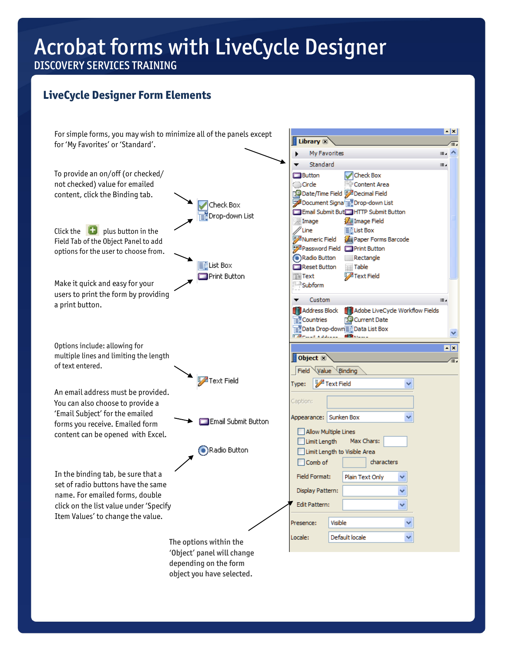### DISCOVERY SERVICES TRAINING

## **LiveCycle Designer Form Elements**

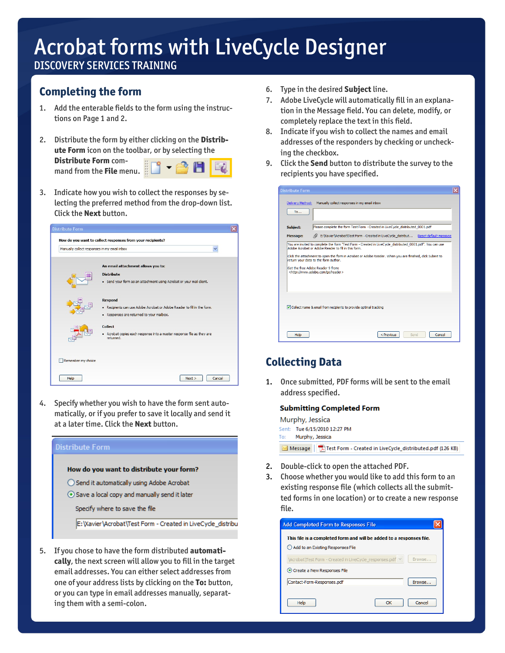DISCOVERY SERVICES TRAINING

### **Completing the form**

- 1. Add the enterable fields to the form using the instructions on Page 1 and 2.
- 2. Distribute the form by either clicking on the **Distribute Form** icon on the toolbar, or by selecting the **Distribute Form** com- $\sum_{n=1}^{\infty}$  **Figure 2 Filter** menu.
- 3. Indicate how you wish to collect the responses by selecting the preferred method from the drop-down list. Click the **Next** button.



4. Specify whether you wish to have the form sent automatically, or if you prefer to save it locally and send it at a later time. Click the **Next** button.



5. If you chose to have the form distributed **automatically**, the next screen will allow you to fill in the target email addresses. You can either select addresses from one of your address lists by clicking on the **To:** button, or you can type in email addresses manually, separating them with a semi-colon.

- 6. Type in the desired **Subject** line.
- 7. Adobe LiveCycle will automatically fill in an explanation in the Message field. You can delete, modify, or completely replace the text in this field.
- 8. Indicate if you wish to collect the names and email addresses of the responders by checking or unchecking the checkbox.
- 9. Click the **Send** button to distribute the survey to the recipients you have specified.

| <b>Distribute Form</b>                                                                                                                                                                                                                    |                                                                                                                                                                  |  |
|-------------------------------------------------------------------------------------------------------------------------------------------------------------------------------------------------------------------------------------------|------------------------------------------------------------------------------------------------------------------------------------------------------------------|--|
| Delivery Method:                                                                                                                                                                                                                          | Manually collect responses in my email inbox                                                                                                                     |  |
| To                                                                                                                                                                                                                                        |                                                                                                                                                                  |  |
| Subject:                                                                                                                                                                                                                                  | Please complete the form Test Form - Created in LiveCycle distributed 0001.pdf                                                                                   |  |
| <b>Message:</b>                                                                                                                                                                                                                           | E: Wavier Vacrobat \Test Form - Created in LiveCycle_distribut Reset default message                                                                             |  |
|                                                                                                                                                                                                                                           | You are invited to complete the form "Test Form - Created in LiveCycle distributed 0001.pdf". You can use<br>Adobe Acrobat or Adobe Reader to fill in this form. |  |
| Click the attachment to open the form in Acrobat or Adobe Reader. When vou are finished, click Submit to<br>return your data to the form author.<br>Get the free Adobe Reader 9 from:<br><http: go="" reader="" www.adobe.com=""></http:> |                                                                                                                                                                  |  |
|                                                                                                                                                                                                                                           | Collect name & email from recipients to provide optimal tracking                                                                                                 |  |
| Help                                                                                                                                                                                                                                      | < Previous<br>Cancel<br>Send                                                                                                                                     |  |

### **Collecting Data**

1. Once submitted, PDF forms will be sent to the email address specified.

#### **Submitting Completed Form**

| Murphy, Jessica |                                                                      |  |  |
|-----------------|----------------------------------------------------------------------|--|--|
|                 | Sent: Tue 6/15/2010 12:27 PM<br>To: Murphy, Jessica                  |  |  |
|                 | Message   Thest Form - Created in LiveCycle_distributed.pdf (126 KB) |  |  |

- 2. Double-click to open the attached PDF.
- 3. Choose whether you would like to add this form to an existing response file (which collects all the submitted forms in one location) or to create a new response file.

| <b>Add Completed Form to Responses File</b>                          |        |  |  |
|----------------------------------------------------------------------|--------|--|--|
| This file is a completed form and will be added to a responses file. |        |  |  |
| Add to an Existing Responses File                                    |        |  |  |
| Browse<br>\Acrobat\Test Form - Created in LiveCycle responses.pdf ∨  |        |  |  |
| Create a New Responses File                                          |        |  |  |
| Contact-Form-Responses.pdf                                           | Browse |  |  |
| Help<br>ОК                                                           | Cancel |  |  |